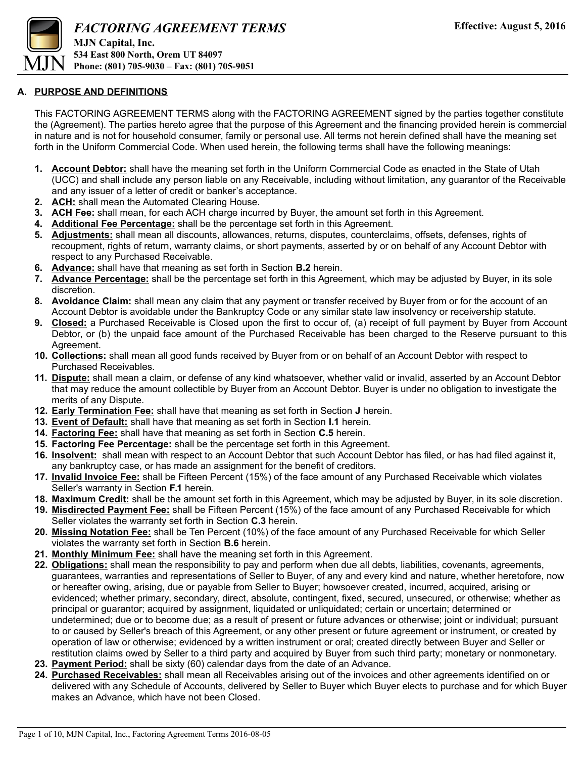

#### **A. PURPOSE AND DEFINITIONS**

This FACTORING AGREEMENT TERMS along with the FACTORING AGREEMENT signed by the parties together constitute the (Agreement). The parties hereto agree that the purpose of this Agreement and the financing provided herein is commercial in nature and is not for household consumer, family or personal use. All terms not herein defined shall have the meaning set forth in the Uniform Commercial Code. When used herein, the following terms shall have the following meanings:

- **1. Account Debtor:** shall have the meaning set forth in the Uniform Commercial Code as enacted in the State of Utah (UCC) and shall include any person liable on any Receivable, including without limitation, any guarantor of the Receivable and any issuer of a letter of credit or banker's acceptance.
- **2. ACH:** shall mean the Automated Clearing House.
- **3. ACH Fee:** shall mean, for each ACH charge incurred by Buyer, the amount set forth in this Agreement.
- **4. Additional Fee Percentage:** shall be the percentage set forth in this Agreement.
- **5. Adjustments:** shall mean all discounts, allowances, returns, disputes, counterclaims, offsets, defenses, rights of recoupment, rights of return, warranty claims, or short payments, asserted by or on behalf of any Account Debtor with respect to any Purchased Receivable.
- **6. Advance:** shall have that meaning as set forth in Section **B.2** herein.
- **7. Advance Percentage:** shall be the percentage set forth in this Agreement, which may be adjusted by Buyer, in its sole discretion.
- **8. Avoidance Claim:** shall mean any claim that any payment or transfer received by Buyer from or for the account of an Account Debtor is avoidable under the Bankruptcy Code or any similar state law insolvency or receivership statute.
- **9. Closed:** a Purchased Receivable is Closed upon the first to occur of, (a) receipt of full payment by Buyer from Account Debtor, or (b) the unpaid face amount of the Purchased Receivable has been charged to the Reserve pursuant to this Agreement.
- **10. Collections:** shall mean all good funds received by Buyer from or on behalf of an Account Debtor with respect to Purchased Receivables.
- **11. Dispute:** shall mean a claim, or defense of any kind whatsoever, whether valid or invalid, asserted by an Account Debtor that may reduce the amount collectible by Buyer from an Account Debtor. Buyer is under no obligation to investigate the merits of any Dispute.
- **12. Early Termination Fee:** shall have that meaning as set forth in Section **J** herein.
- **13. Event of Default:** shall have that meaning as set forth in Section **I.1** herein.
- **14. Factoring Fee:** shall have that meaning as set forth in Section **C.5** herein.
- **15. Factoring Fee Percentage:** shall be the percentage set forth in this Agreement.
- **16. Insolvent:** shall mean with respect to an Account Debtor that such Account Debtor has filed, or has had filed against it, any bankruptcy case, or has made an assignment for the benefit of creditors.
- **17. Invalid Invoice Fee:** shall be Fifteen Percent (15%) of the face amount of any Purchased Receivable which violates Seller's warranty in Section **F.1** herein.
- **18. Maximum Credit:** shall be the amount set forth in this Agreement, which may be adjusted by Buyer, in its sole discretion.
- **19. Misdirected Payment Fee:** shall be Fifteen Percent (15%) of the face amount of any Purchased Receivable for which Seller violates the warranty set forth in Section **C.3** herein.
- **20. Missing Notation Fee:** shall be Ten Percent (10%) of the face amount of any Purchased Receivable for which Seller violates the warranty set forth in Section **B.6** herein.
- **21. Monthly Minimum Fee:** shall have the meaning set forth in this Agreement.
- **22. Obligations:** shall mean the responsibility to pay and perform when due all debts, liabilities, covenants, agreements, guarantees, warranties and representations of Seller to Buyer, of any and every kind and nature, whether heretofore, now or hereafter owing, arising, due or payable from Seller to Buyer; howsoever created, incurred, acquired, arising or evidenced; whether primary, secondary, direct, absolute, contingent, fixed, secured, unsecured, or otherwise; whether as principal or guarantor; acquired by assignment, liquidated or unliquidated; certain or uncertain; determined or undetermined; due or to become due; as a result of present or future advances or otherwise; joint or individual; pursuant to or caused by Seller's breach of this Agreement, or any other present or future agreement or instrument, or created by operation of law or otherwise; evidenced by a written instrument or oral; created directly between Buyer and Seller or restitution claims owed by Seller to a third party and acquired by Buyer from such third party; monetary or nonmonetary.
- **23. Payment Period:** shall be sixty (60) calendar days from the date of an Advance.
- **24. Purchased Receivables:** shall mean all Receivables arising out of the invoices and other agreements identified on or delivered with any Schedule of Accounts, delivered by Seller to Buyer which Buyer elects to purchase and for which Buyer makes an Advance, which have not been Closed.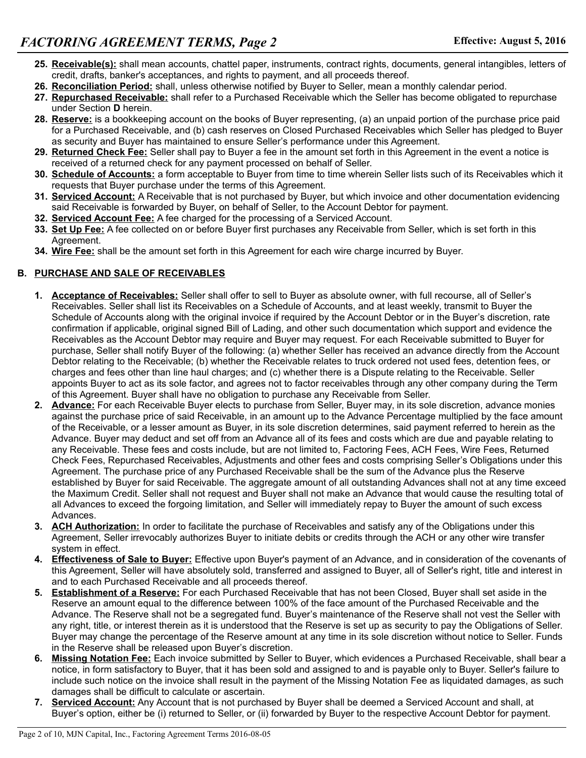- **25. Receivable(s):** shall mean accounts, chattel paper, instruments, contract rights, documents, general intangibles, letters of credit, drafts, banker's acceptances, and rights to payment, and all proceeds thereof.
- **26. Reconciliation Period:** shall, unless otherwise notified by Buyer to Seller, mean a monthly calendar period.
- **27. Repurchased Receivable:** shall refer to a Purchased Receivable which the Seller has become obligated to repurchase under Section **D** herein.
- **28. Reserve:** is a bookkeeping account on the books of Buyer representing, (a) an unpaid portion of the purchase price paid for a Purchased Receivable, and (b) cash reserves on Closed Purchased Receivables which Seller has pledged to Buyer as security and Buyer has maintained to ensure Seller's performance under this Agreement.
- **29. Returned Check Fee:** Seller shall pay to Buyer a fee in the amount set forth in this Agreement in the event a notice is received of a returned check for any payment processed on behalf of Seller.
- **30. Schedule of Accounts:** a form acceptable to Buyer from time to time wherein Seller lists such of its Receivables which it requests that Buyer purchase under the terms of this Agreement.
- **31. Serviced Account:** A Receivable that is not purchased by Buyer, but which invoice and other documentation evidencing said Receivable is forwarded by Buyer, on behalf of Seller, to the Account Debtor for payment.
- **32. Serviced Account Fee:** A fee charged for the processing of a Serviced Account.
- **33. Set Up Fee:** A fee collected on or before Buyer first purchases any Receivable from Seller, which is set forth in this Agreement.
- **34. Wire Fee:** shall be the amount set forth in this Agreement for each wire charge incurred by Buyer.

## **B. PURCHASE AND SALE OF RECEIVABLES**

- **1. Acceptance of Receivables:** Seller shall offer to sell to Buyer as absolute owner, with full recourse, all of Seller's Receivables. Seller shall list its Receivables on a Schedule of Accounts, and at least weekly, transmit to Buyer the Schedule of Accounts along with the original invoice if required by the Account Debtor or in the Buyer's discretion, rate confirmation if applicable, original signed Bill of Lading, and other such documentation which support and evidence the Receivables as the Account Debtor may require and Buyer may request. For each Receivable submitted to Buyer for purchase, Seller shall notify Buyer of the following: (a) whether Seller has received an advance directly from the Account Debtor relating to the Receivable; (b) whether the Receivable relates to truck ordered not used fees, detention fees, or charges and fees other than line haul charges; and (c) whether there is a Dispute relating to the Receivable. Seller appoints Buyer to act as its sole factor, and agrees not to factor receivables through any other company during the Term of this Agreement. Buyer shall have no obligation to purchase any Receivable from Seller.
- **2. Advance:** For each Receivable Buyer elects to purchase from Seller, Buyer may, in its sole discretion, advance monies against the purchase price of said Receivable, in an amount up to the Advance Percentage multiplied by the face amount of the Receivable, or a lesser amount as Buyer, in its sole discretion determines, said payment referred to herein as the Advance. Buyer may deduct and set off from an Advance all of its fees and costs which are due and payable relating to any Receivable. These fees and costs include, but are not limited to, Factoring Fees, ACH Fees, Wire Fees, Returned Check Fees, Repurchased Receivables, Adjustments and other fees and costs comprising Seller's Obligations under this Agreement. The purchase price of any Purchased Receivable shall be the sum of the Advance plus the Reserve established by Buyer for said Receivable. The aggregate amount of all outstanding Advances shall not at any time exceed the Maximum Credit. Seller shall not request and Buyer shall not make an Advance that would cause the resulting total of all Advances to exceed the forgoing limitation, and Seller will immediately repay to Buyer the amount of such excess Advances.
- **3. ACH Authorization:** In order to facilitate the purchase of Receivables and satisfy any of the Obligations under this Agreement, Seller irrevocably authorizes Buyer to initiate debits or credits through the ACH or any other wire transfer system in effect.
- **4. Effectiveness of Sale to Buyer:** Effective upon Buyer's payment of an Advance, and in consideration of the covenants of this Agreement, Seller will have absolutely sold, transferred and assigned to Buyer, all of Seller's right, title and interest in and to each Purchased Receivable and all proceeds thereof.
- **5. Establishment of a Reserve:** For each Purchased Receivable that has not been Closed, Buyer shall set aside in the Reserve an amount equal to the difference between 100% of the face amount of the Purchased Receivable and the Advance. The Reserve shall not be a segregated fund. Buyer's maintenance of the Reserve shall not vest the Seller with any right, title, or interest therein as it is understood that the Reserve is set up as security to pay the Obligations of Seller. Buyer may change the percentage of the Reserve amount at any time in its sole discretion without notice to Seller. Funds in the Reserve shall be released upon Buyer's discretion.
- **6. Missing Notation Fee:** Each invoice submitted by Seller to Buyer, which evidences a Purchased Receivable, shall bear a notice, in form satisfactory to Buyer, that it has been sold and assigned to and is payable only to Buyer. Seller's failure to include such notice on the invoice shall result in the payment of the Missing Notation Fee as liquidated damages, as such damages shall be difficult to calculate or ascertain.
- **7. Serviced Account:** Any Account that is not purchased by Buyer shall be deemed a Serviced Account and shall, at Buyer's option, either be (i) returned to Seller, or (ii) forwarded by Buyer to the respective Account Debtor for payment.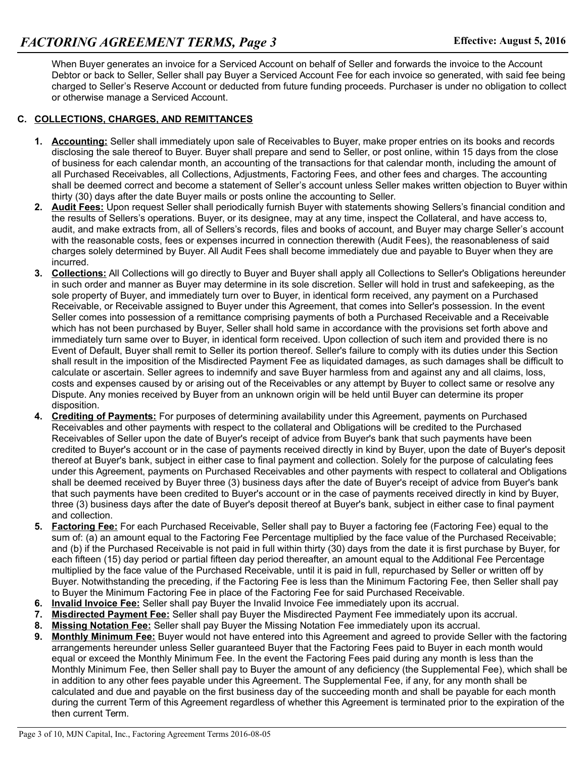When Buyer generates an invoice for a Serviced Account on behalf of Seller and forwards the invoice to the Account Debtor or back to Seller, Seller shall pay Buyer a Serviced Account Fee for each invoice so generated, with said fee being charged to Seller's Reserve Account or deducted from future funding proceeds. Purchaser is under no obligation to collect or otherwise manage a Serviced Account.

### **C. COLLECTIONS, CHARGES, AND REMITTANCES**

- **1. Accounting:** Seller shall immediately upon sale of Receivables to Buyer, make proper entries on its books and records disclosing the sale thereof to Buyer. Buyer shall prepare and send to Seller, or post online, within 15 days from the close of business for each calendar month, an accounting of the transactions for that calendar month, including the amount of all Purchased Receivables, all Collections, Adjustments, Factoring Fees, and other fees and charges. The accounting shall be deemed correct and become a statement of Seller's account unless Seller makes written objection to Buyer within thirty (30) days after the date Buyer mails or posts online the accounting to Seller.
- **2. Audit Fees:** Upon request Seller shall periodically furnish Buyer with statements showing Sellers's financial condition and the results of Sellers's operations. Buyer, or its designee, may at any time, inspect the Collateral, and have access to, audit, and make extracts from, all of Sellers's records, files and books of account, and Buyer may charge Seller's account with the reasonable costs, fees or expenses incurred in connection therewith (Audit Fees), the reasonableness of said charges solely determined by Buyer. All Audit Fees shall become immediately due and payable to Buyer when they are incurred.
- **3. Collections:** All Collections will go directly to Buyer and Buyer shall apply all Collections to Seller's Obligations hereunder in such order and manner as Buyer may determine in its sole discretion. Seller will hold in trust and safekeeping, as the sole property of Buyer, and immediately turn over to Buyer, in identical form received, any payment on a Purchased Receivable, or Receivable assigned to Buyer under this Agreement, that comes into Seller's possession. In the event Seller comes into possession of a remittance comprising payments of both a Purchased Receivable and a Receivable which has not been purchased by Buyer, Seller shall hold same in accordance with the provisions set forth above and immediately turn same over to Buyer, in identical form received. Upon collection of such item and provided there is no Event of Default, Buyer shall remit to Seller its portion thereof. Seller's failure to comply with its duties under this Section shall result in the imposition of the Misdirected Payment Fee as liquidated damages, as such damages shall be difficult to calculate or ascertain. Seller agrees to indemnify and save Buyer harmless from and against any and all claims, loss, costs and expenses caused by or arising out of the Receivables or any attempt by Buyer to collect same or resolve any Dispute. Any monies received by Buyer from an unknown origin will be held until Buyer can determine its proper disposition.
- **4. Crediting of Payments:** For purposes of determining availability under this Agreement, payments on Purchased Receivables and other payments with respect to the collateral and Obligations will be credited to the Purchased Receivables of Seller upon the date of Buyer's receipt of advice from Buyer's bank that such payments have been credited to Buyer's account or in the case of payments received directly in kind by Buyer, upon the date of Buyer's deposit thereof at Buyer's bank, subject in either case to final payment and collection. Solely for the purpose of calculating fees under this Agreement, payments on Purchased Receivables and other payments with respect to collateral and Obligations shall be deemed received by Buyer three (3) business days after the date of Buyer's receipt of advice from Buyer's bank that such payments have been credited to Buyer's account or in the case of payments received directly in kind by Buyer, three (3) business days after the date of Buyer's deposit thereof at Buyer's bank, subject in either case to final payment and collection.
- **5. Factoring Fee:** For each Purchased Receivable, Seller shall pay to Buyer a factoring fee (Factoring Fee) equal to the sum of: (a) an amount equal to the Factoring Fee Percentage multiplied by the face value of the Purchased Receivable; and (b) if the Purchased Receivable is not paid in full within thirty (30) days from the date it is first purchase by Buyer, for each fifteen (15) day period or partial fifteen day period thereafter, an amount equal to the Additional Fee Percentage multiplied by the face value of the Purchased Receivable, until it is paid in full, repurchased by Seller or written off by Buyer. Notwithstanding the preceding, if the Factoring Fee is less than the Minimum Factoring Fee, then Seller shall pay to Buyer the Minimum Factoring Fee in place of the Factoring Fee for said Purchased Receivable.
- **6. Invalid Invoice Fee:** Seller shall pay Buyer the Invalid Invoice Fee immediately upon its accrual.
- **7. Misdirected Payment Fee:** Seller shall pay Buyer the Misdirected Payment Fee immediately upon its accrual.
- **8. Missing Notation Fee:** Seller shall pay Buyer the Missing Notation Fee immediately upon its accrual.
- **9. Monthly Minimum Fee:** Buyer would not have entered into this Agreement and agreed to provide Seller with the factoring arrangements hereunder unless Seller guaranteed Buyer that the Factoring Fees paid to Buyer in each month would equal or exceed the Monthly Minimum Fee. In the event the Factoring Fees paid during any month is less than the Monthly Minimum Fee, then Seller shall pay to Buyer the amount of any deficiency (the Supplemental Fee), which shall be in addition to any other fees payable under this Agreement. The Supplemental Fee, if any, for any month shall be calculated and due and payable on the first business day of the succeeding month and shall be payable for each month during the current Term of this Agreement regardless of whether this Agreement is terminated prior to the expiration of the then current Term.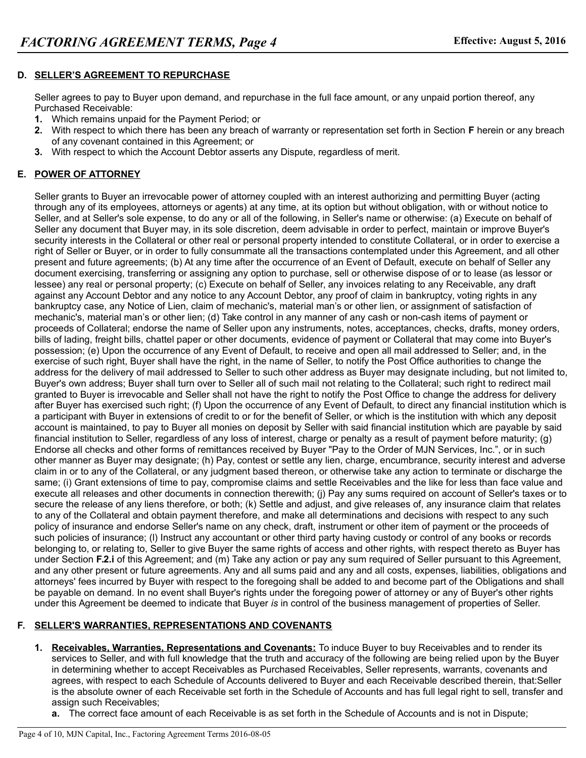### **D. SELLER'S AGREEMENT TO REPURCHASE**

Seller agrees to pay to Buyer upon demand, and repurchase in the full face amount, or any unpaid portion thereof, any Purchased Receivable:

- **1.** Which remains unpaid for the Payment Period; or
- **2.** With respect to which there has been any breach of warranty or representation set forth in Section **F** herein or any breach of any covenant contained in this Agreement; or
- **3.** With respect to which the Account Debtor asserts any Dispute, regardless of merit.

# **E. POWER OF ATTORNEY**

Seller grants to Buyer an irrevocable power of attorney coupled with an interest authorizing and permitting Buyer (acting through any of its employees, attorneys or agents) at any time, at its option but without obligation, with or without notice to Seller, and at Seller's sole expense, to do any or all of the following, in Seller's name or otherwise: (a) Execute on behalf of Seller any document that Buyer may, in its sole discretion, deem advisable in order to perfect, maintain or improve Buyer's security interests in the Collateral or other real or personal property intended to constitute Collateral, or in order to exercise a right of Seller or Buyer, or in order to fully consummate all the transactions contemplated under this Agreement, and all other present and future agreements; (b) At any time after the occurrence of an Event of Default, execute on behalf of Seller any document exercising, transferring or assigning any option to purchase, sell or otherwise dispose of or to lease (as lessor or lessee) any real or personal property; (c) Execute on behalf of Seller, any invoices relating to any Receivable, any draft against any Account Debtor and any notice to any Account Debtor, any proof of claim in bankruptcy, voting rights in any bankruptcy case, any Notice of Lien, claim of mechanic's, material man's or other lien, or assignment of satisfaction of mechanic's, material man's or other lien; (d) Take control in any manner of any cash or non-cash items of payment or proceeds of Collateral; endorse the name of Seller upon any instruments, notes, acceptances, checks, drafts, money orders, bills of lading, freight bills, chattel paper or other documents, evidence of payment or Collateral that may come into Buyer's possession; (e) Upon the occurrence of any Event of Default, to receive and open all mail addressed to Seller; and, in the exercise of such right, Buyer shall have the right, in the name of Seller, to notify the Post Office authorities to change the address for the delivery of mail addressed to Seller to such other address as Buyer may designate including, but not limited to, Buyer's own address; Buyer shall turn over to Seller all of such mail not relating to the Collateral; such right to redirect mail granted to Buyer is irrevocable and Seller shall not have the right to notify the Post Office to change the address for delivery after Buyer has exercised such right; (f) Upon the occurrence of any Event of Default, to direct any financial institution which is a participant with Buyer in extensions of credit to or for the benefit of Seller, or which is the institution with which any deposit account is maintained, to pay to Buyer all monies on deposit by Seller with said financial institution which are payable by said financial institution to Seller, regardless of any loss of interest, charge or penalty as a result of payment before maturity; (g) Endorse all checks and other forms of remittances received by Buyer "Pay to the Order of MJN Services, Inc.", or in such other manner as Buyer may designate; (h) Pay, contest or settle any lien, charge, encumbrance, security interest and adverse claim in or to any of the Collateral, or any judgment based thereon, or otherwise take any action to terminate or discharge the same; (i) Grant extensions of time to pay, compromise claims and settle Receivables and the like for less than face value and execute all releases and other documents in connection therewith; (j) Pay any sums required on account of Seller's taxes or to secure the release of any liens therefore, or both; (k) Settle and adjust, and give releases of, any insurance claim that relates to any of the Collateral and obtain payment therefore, and make all determinations and decisions with respect to any such policy of insurance and endorse Seller's name on any check, draft, instrument or other item of payment or the proceeds of such policies of insurance; (l) Instruct any accountant or other third party having custody or control of any books or records belonging to, or relating to, Seller to give Buyer the same rights of access and other rights, with respect thereto as Buyer has under Section **F.2.i** of this Agreement; and (m) Take any action or pay any sum required of Seller pursuant to this Agreement, and any other present or future agreements. Any and all sums paid and any and all costs, expenses, liabilities, obligations and attorneys' fees incurred by Buyer with respect to the foregoing shall be added to and become part of the Obligations and shall be payable on demand. In no event shall Buyer's rights under the foregoing power of attorney or any of Buyer's other rights under this Agreement be deemed to indicate that Buyer *is* in control of the business management of properties of Seller.

## **F. SELLER'S WARRANTIES, REPRESENTATIONS AND COVENANTS**

- **1. Receivables, Warranties, Representations and Covenants:** To induce Buyer to buy Receivables and to render its services to Seller, and with full knowledge that the truth and accuracy of the following are being relied upon by the Buyer in determining whether to accept Receivables as Purchased Receivables, Seller represents, warrants, covenants and agrees, with respect to each Schedule of Accounts delivered to Buyer and each Receivable described therein, that:Seller is the absolute owner of each Receivable set forth in the Schedule of Accounts and has full legal right to sell, transfer and assign such Receivables;
	- **a.** The correct face amount of each Receivable is as set forth in the Schedule of Accounts and is not in Dispute;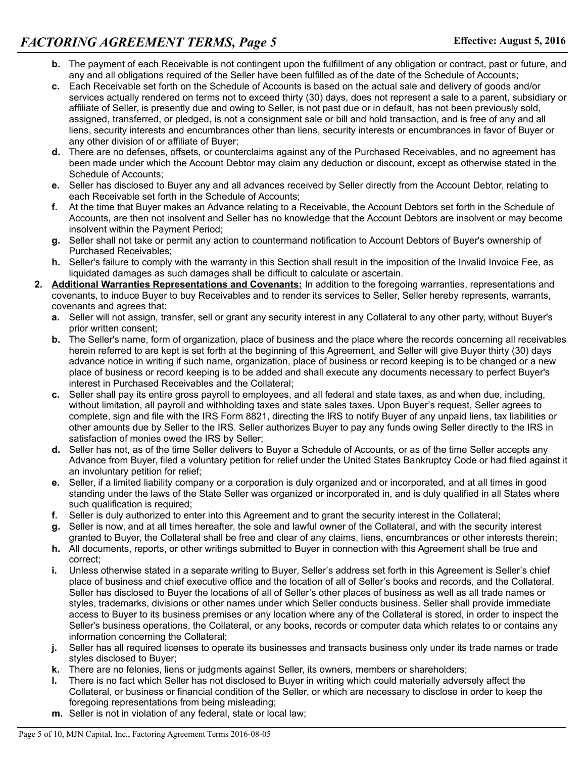- **b.** The payment of each Receivable is not contingent upon the fulfillment of any obligation or contract, past or future, and any and all obligations required of the Seller have been fulfilled as of the date of the Schedule of Accounts;
- **c.** Each Receivable set forth on the Schedule of Accounts is based on the actual sale and delivery of goods and/or services actually rendered on terms not to exceed thirty (30) days, does not represent a sale to a parent, subsidiary or affiliate of Seller, is presently due and owing to Seller, is not past due or in default, has not been previously sold, assigned, transferred, or pledged, is not a consignment sale or bill and hold transaction, and is free of any and all liens, security interests and encumbrances other than liens, security interests or encumbrances in favor of Buyer or any other division of or affiliate of Buyer;
- **d.** There are no defenses, offsets, or counterclaims against any of the Purchased Receivables, and no agreement has been made under which the Account Debtor may claim any deduction or discount, except as otherwise stated in the Schedule of Accounts;
- **e.** Seller has disclosed to Buyer any and all advances received by Seller directly from the Account Debtor, relating to each Receivable set forth in the Schedule of Accounts;
- **f.** At the time that Buyer makes an Advance relating to a Receivable, the Account Debtors set forth in the Schedule of Accounts, are then not insolvent and Seller has no knowledge that the Account Debtors are insolvent or may become insolvent within the Payment Period;
- **g.** Seller shall not take or permit any action to countermand notification to Account Debtors of Buyer's ownership of Purchased Receivables;
- **h.** Seller's failure to comply with the warranty in this Section shall result in the imposition of the Invalid Invoice Fee, as liquidated damages as such damages shall be difficult to calculate or ascertain.
- **2. Additional Warranties Representations and Covenants:** In addition to the foregoing warranties, representations and covenants, to induce Buyer to buy Receivables and to render its services to Seller, Seller hereby represents, warrants, covenants and agrees that:
	- **a.** Seller will not assign, transfer, sell or grant any security interest in any Collateral to any other party, without Buyer's prior written consent;
	- **b.** The Seller's name, form of organization, place of business and the place where the records concerning all receivables herein referred to are kept is set forth at the beginning of this Agreement, and Seller will give Buyer thirty (30) days advance notice in writing if such name, organization, place of business or record keeping is to be changed or a new place of business or record keeping is to be added and shall execute any documents necessary to perfect Buyer's interest in Purchased Receivables and the Collateral;
	- **c.** Seller shall pay its entire gross payroll to employees, and all federal and state taxes, as and when due, including, without limitation, all payroll and withholding taxes and state sales taxes. Upon Buyer's request, Seller agrees to complete, sign and file with the IRS Form 8821, directing the IRS to notify Buyer of any unpaid liens, tax liabilities or other amounts due by Seller to the IRS. Seller authorizes Buyer to pay any funds owing Seller directly to the IRS in satisfaction of monies owed the IRS by Seller;
	- **d.** Seller has not, as of the time Seller delivers to Buyer a Schedule of Accounts, or as of the time Seller accepts any Advance from Buyer, filed a voluntary petition for relief under the United States Bankruptcy Code or had filed against it an involuntary petition for relief;
	- **e.** Seller, if a limited liability company or a corporation is duly organized and or incorporated, and at all times in good standing under the laws of the State Seller was organized or incorporated in, and is duly qualified in all States where such qualification is required;
	- **f.** Seller is duly authorized to enter into this Agreement and to grant the security interest in the Collateral;
	- **g.** Seller is now, and at all times hereafter, the sole and lawful owner of the Collateral, and with the security interest granted to Buyer, the Collateral shall be free and clear of any claims, liens, encumbrances or other interests therein;
	- **h.** All documents, reports, or other writings submitted to Buyer in connection with this Agreement shall be true and correct;
	- **i.** Unless otherwise stated in a separate writing to Buyer, Seller's address set forth in this Agreement is Seller's chief place of business and chief executive office and the location of all of Seller's books and records, and the Collateral. Seller has disclosed to Buyer the locations of all of Seller's other places of business as well as all trade names or styles, trademarks, divisions or other names under which Seller conducts business. Seller shall provide immediate access to Buyer to its business premises or any location where any of the Collateral is stored, in order to inspect the Seller's business operations, the Collateral, or any books, records or computer data which relates to or contains any information concerning the Collateral;
	- **j.** Seller has all required licenses to operate its businesses and transacts business only under its trade names or trade styles disclosed to Buyer;
	- **k.** There are no felonies, liens or judgments against Seller, its owners, members or shareholders;
	- **l.** There is no fact which Seller has not disclosed to Buyer in writing which could materially adversely affect the Collateral, or business or financial condition of the Seller, or which are necessary to disclose in order to keep the foregoing representations from being misleading;
	- **m.** Seller is not in violation of any federal, state or local law;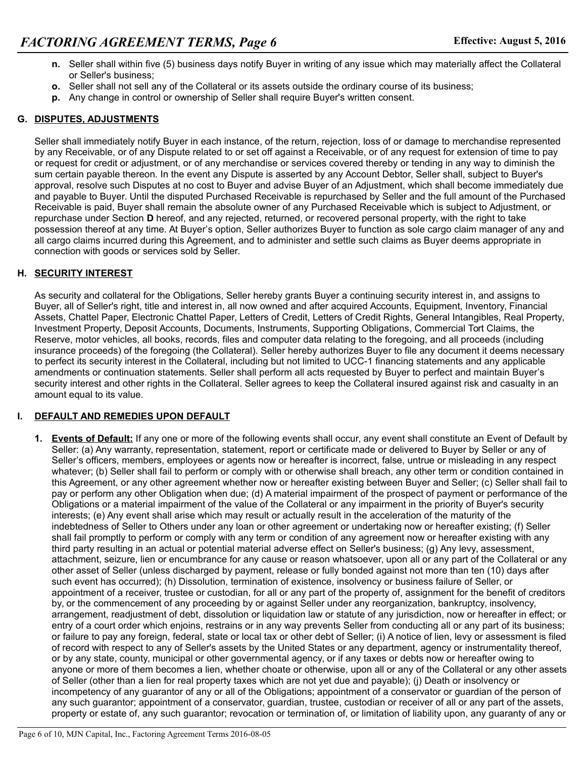- **n.** Seller shall within five (5) business days notify Buyer in writing of any issue which may materially affect the Collateral or Seller's business;
- **o.** Seller shall not sell any of the Collateral or its assets outside the ordinary course of its business;
- **p.** Any change in control or ownership of Seller shall require Buyer's written consent.

### **G. DISPUTES, ADJUSTMENTS**

Seller shall immediately notify Buyer in each instance, of the return, rejection, loss of or damage to merchandise represented by any Receivable, or of any Dispute related to or set off against a Receivable, or of any request for extension of time to pay or request for credit or adjustment, or of any merchandise or services covered thereby or tending in any way to diminish the sum certain payable thereon. In the event any Dispute is asserted by any Account Debtor, Seller shall, subject to Buyer's approval, resolve such Disputes at no cost to Buyer and advise Buyer of an Adjustment, which shall become immediately due and payable to Buyer. Until the disputed Purchased Receivable is repurchased by Seller and the full amount of the Purchased Receivable is paid, Buyer shall remain the absolute owner of any Purchased Receivable which is subject to Adjustment, or repurchase under Section **D** hereof, and any rejected, returned, or recovered personal property, with the right to take possession thereof at any time. At Buyer's option, Seller authorizes Buyer to function as sole cargo claim manager of any and all cargo claims incurred during this Agreement, and to administer and settle such claims as Buyer deems appropriate in connection with goods or services sold by Seller.

### **H. SECURITY INTEREST**

As security and collateral for the Obligations, Seller hereby grants Buyer a continuing security interest in, and assigns to Buyer, all of Seller's right, title and interest in, all now owned and after acquired Accounts, Equipment, Inventory, Financial Assets, Chattel Paper, Electronic Chattel Paper, Letters of Credit, Letters of Credit Rights, General Intangibles, Real Property, Investment Property, Deposit Accounts, Documents, Instruments, Supporting Obligations, Commercial Tort Claims, the Reserve, motor vehicles, all books, records, files and computer data relating to the foregoing, and all proceeds (including insurance proceeds) of the foregoing (the Collateral). Seller hereby authorizes Buyer to file any document it deems necessary to perfect its security interest in the Collateral, including but not limited to UCC-1 financing statements and any applicable amendments or continuation statements. Seller shall perform all acts requested by Buyer to perfect and maintain Buyer's security interest and other rights in the Collateral. Seller agrees to keep the Collateral insured against risk and casualty in an amount equal to its value.

## **I. DEFAULT AND REMEDIES UPON DEFAULT**

**1. Events of Default:** If any one or more of the following events shall occur, any event shall constitute an Event of Default by Seller: (a) Any warranty, representation, statement, report or certificate made or delivered to Buyer by Seller or any of Seller's officers, members, employees or agents now or hereafter is incorrect, false, untrue or misleading in any respect whatever; (b) Seller shall fail to perform or comply with or otherwise shall breach, any other term or condition contained in this Agreement, or any other agreement whether now or hereafter existing between Buyer and Seller; (c) Seller shall fail to pay or perform any other Obligation when due; (d) A material impairment of the prospect of payment or performance of the Obligations or a material impairment of the value of the Collateral or any impairment in the priority of Buyer's security interests; (e) Any event shall arise which may result or actually result in the acceleration of the maturity of the indebtedness of Seller to Others under any loan or other agreement or undertaking now or hereafter existing; (f) Seller shall fail promptly to perform or comply with any term or condition of any agreement now or hereafter existing with any third party resulting in an actual or potential material adverse effect on Seller's business; (g) Any levy, assessment, attachment, seizure, lien or encumbrance for any cause or reason whatsoever, upon all or any part of the Collateral or any other asset of Seller (unless discharged by payment, release or fully bonded against not more than ten (10) days after such event has occurred); (h) Dissolution, termination of existence, insolvency or business failure of Seller, or appointment of a receiver, trustee or custodian, for all or any part of the property of, assignment for the benefit of creditors by, or the commencement of any proceeding by or against Seller under any reorganization, bankruptcy, insolvency, arrangement, readjustment of debt, dissolution or liquidation law or statute of any jurisdiction, now or hereafter in effect; or entry of a court order which enjoins, restrains or in any way prevents Seller from conducting all or any part of its business; or failure to pay any foreign, federal, state or local tax or other debt of Seller; (i) A notice of lien, levy or assessment is filed of record with respect to any of Seller's assets by the United States or any department, agency or instrumentality thereof, or by any state, county, municipal or other governmental agency, or if any taxes or debts now or hereafter owing to anyone or more of them becomes a lien, whether choate or otherwise, upon all or any of the Collateral or any other assets of Seller (other than a lien for real property taxes which are not yet due and payable); (j) Death or insolvency or incompetency of any guarantor of any or all of the Obligations; appointment of a conservator or guardian of the person of any such guarantor; appointment of a conservator, guardian, trustee, custodian or receiver of all or any part of the assets, property or estate of, any such guarantor; revocation or termination of, or limitation of liability upon, any guaranty of any or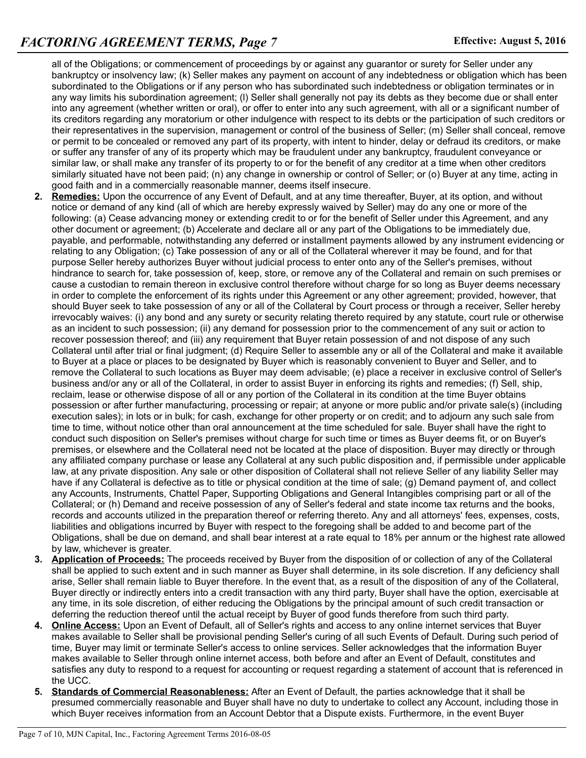all of the Obligations; or commencement of proceedings by or against any guarantor or surety for Seller under any bankruptcy or insolvency law; (k) Seller makes any payment on account of any indebtedness or obligation which has been subordinated to the Obligations or if any person who has subordinated such indebtedness or obligation terminates or in any way limits his subordination agreement; (l) Seller shall generally not pay its debts as they become due or shall enter into any agreement (whether written or oral), or offer to enter into any such agreement, with all or a significant number of its creditors regarding any moratorium or other indulgence with respect to its debts or the participation of such creditors or their representatives in the supervision, management or control of the business of Seller; (m) Seller shall conceal, remove or permit to be concealed or removed any part of its property, with intent to hinder, delay or defraud its creditors, or make or suffer any transfer of any of its property which may be fraudulent under any bankruptcy, fraudulent conveyance or similar law, or shall make any transfer of its property to or for the benefit of any creditor at a time when other creditors similarly situated have not been paid; (n) any change in ownership or control of Seller; or (o) Buyer at any time, acting in good faith and in a commercially reasonable manner, deems itself insecure.

- **2. Remedies:** Upon the occurrence of any Event of Default, and at any time thereafter, Buyer, at its option, and without notice or demand of any kind (all of which are hereby expressly waived by Seller) may do any one or more of the following: (a) Cease advancing money or extending credit to or for the benefit of Seller under this Agreement, and any other document or agreement; (b) Accelerate and declare all or any part of the Obligations to be immediately due, payable, and performable, notwithstanding any deferred or installment payments allowed by any instrument evidencing or relating to any Obligation; (c) Take possession of any or all of the Collateral wherever it may be found, and for that purpose Seller hereby authorizes Buyer without judicial process to enter onto any of the Seller's premises, without hindrance to search for, take possession of, keep, store, or remove any of the Collateral and remain on such premises or cause a custodian to remain thereon in exclusive control therefore without charge for so long as Buyer deems necessary in order to complete the enforcement of its rights under this Agreement or any other agreement; provided, however, that should Buyer seek to take possession of any or all of the Collateral by Court process or through a receiver, Seller hereby irrevocably waives: (i) any bond and any surety or security relating thereto required by any statute, court rule or otherwise as an incident to such possession; (ii) any demand for possession prior to the commencement of any suit or action to recover possession thereof; and (iii) any requirement that Buyer retain possession of and not dispose of any such Collateral until after trial or final judgment; (d) Require Seller to assemble any or all of the Collateral and make it available to Buyer at a place or places to be designated by Buyer which is reasonably convenient to Buyer and Seller, and to remove the Collateral to such locations as Buyer may deem advisable; (e) place a receiver in exclusive control of Seller's business and/or any or all of the Collateral, in order to assist Buyer in enforcing its rights and remedies; (f) Sell, ship, reclaim, lease or otherwise dispose of all or any portion of the Collateral in its condition at the time Buyer obtains possession or after further manufacturing, processing or repair; at anyone or more public and/or private sale(s) (including execution sales); in lots or in bulk; for cash, exchange for other property or on credit; and to adjourn any such sale from time to time, without notice other than oral announcement at the time scheduled for sale. Buyer shall have the right to conduct such disposition on Seller's premises without charge for such time or times as Buyer deems fit, or on Buyer's premises, or elsewhere and the Collateral need not be located at the place of disposition. Buyer may directly or through any affiliated company purchase or lease any Collateral at any such public disposition and, if permissible under applicable law, at any private disposition. Any sale or other disposition of Collateral shall not relieve Seller of any liability Seller may have if any Collateral is defective as to title or physical condition at the time of sale; (g) Demand payment of, and collect any Accounts, Instruments, Chattel Paper, Supporting Obligations and General Intangibles comprising part or all of the Collateral; or (h) Demand and receive possession of any of Seller's federal and state income tax returns and the books, records and accounts utilized in the preparation thereof or referring thereto. Any and all attorneys' fees, expenses, costs, liabilities and obligations incurred by Buyer with respect to the foregoing shall be added to and become part of the Obligations, shall be due on demand, and shall bear interest at a rate equal to 18% per annum or the highest rate allowed by law, whichever is greater.
- **3. Application of Proceeds:** The proceeds received by Buyer from the disposition of or collection of any of the Collateral shall be applied to such extent and in such manner as Buyer shall determine, in its sole discretion. If any deficiency shall arise, Seller shall remain liable to Buyer therefore. In the event that, as a result of the disposition of any of the Collateral, Buyer directly or indirectly enters into a credit transaction with any third party, Buyer shall have the option, exercisable at any time, in its sole discretion, of either reducing the Obligations by the principal amount of such credit transaction or deferring the reduction thereof until the actual receipt by Buyer of good funds therefore from such third party.
- **4. Online Access:** Upon an Event of Default, all of Seller's rights and access to any online internet services that Buyer makes available to Seller shall be provisional pending Seller's curing of all such Events of Default. During such period of time, Buyer may limit or terminate Seller's access to online services. Seller acknowledges that the information Buyer makes available to Seller through online internet access, both before and after an Event of Default, constitutes and satisfies any duty to respond to a request for accounting or request regarding a statement of account that is referenced in the UCC.
- **5. Standards of Commercial Reasonableness:** After an Event of Default, the parties acknowledge that it shall be presumed commercially reasonable and Buyer shall have no duty to undertake to collect any Account, including those in which Buyer receives information from an Account Debtor that a Dispute exists. Furthermore, in the event Buyer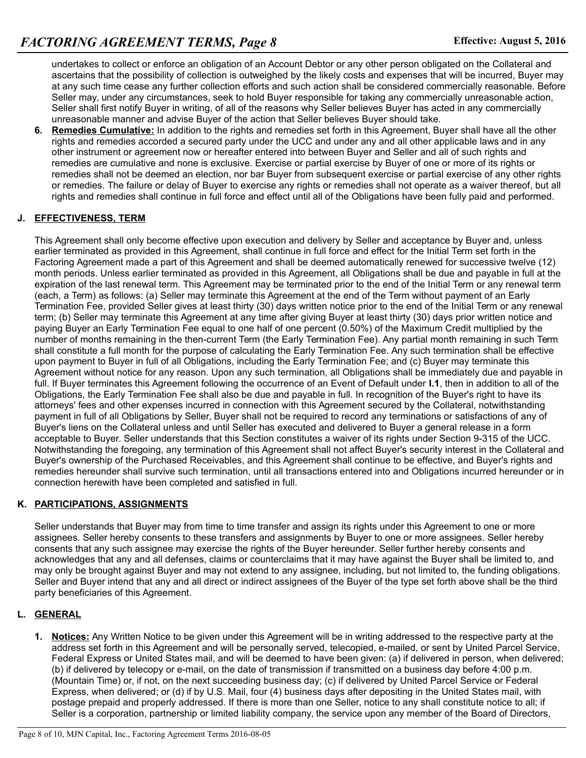undertakes to collect or enforce an obligation of an Account Debtor or any other person obligated on the Collateral and ascertains that the possibility of collection is outweighed by the likely costs and expenses that will be incurred, Buyer may at any such time cease any further collection efforts and such action shall be considered commercially reasonable. Before Seller may, under any circumstances, seek to hold Buyer responsible for taking any commercially unreasonable action, Seller shall first notify Buyer in writing, of all of the reasons why Seller believes Buyer has acted in any commercially unreasonable manner and advise Buyer of the action that Seller believes Buyer should take.

**6. Remedies Cumulative:** In addition to the rights and remedies set forth in this Agreement, Buyer shall have all the other rights and remedies accorded a secured party under the UCC and under any and all other applicable laws and in any other instrument or agreement now or hereafter entered into between Buyer and Seller and all of such rights and remedies are cumulative and none is exclusive. Exercise or partial exercise by Buyer of one or more of its rights or remedies shall not be deemed an election, nor bar Buyer from subsequent exercise or partial exercise of any other rights or remedies. The failure or delay of Buyer to exercise any rights or remedies shall not operate as a waiver thereof, but all rights and remedies shall continue in full force and effect until all of the Obligations have been fully paid and performed.

## **J. EFFECTIVENESS, TERM**

This Agreement shall only become effective upon execution and delivery by Seller and acceptance by Buyer and, unless earlier terminated as provided in this Agreement, shall continue in full force and effect for the Initial Term set forth in the Factoring Agreement made a part of this Agreement and shall be deemed automatically renewed for successive twelve (12) month periods. Unless earlier terminated as provided in this Agreement, all Obligations shall be due and payable in full at the expiration of the last renewal term. This Agreement may be terminated prior to the end of the Initial Term or any renewal term (each, a Term) as follows: (a) Seller may terminate this Agreement at the end of the Term without payment of an Early Termination Fee, provided Seller gives at least thirty (30) days written notice prior to the end of the Initial Term or any renewal term; (b) Seller may terminate this Agreement at any time after giving Buyer at least thirty (30) days prior written notice and paying Buyer an Early Termination Fee equal to one half of one percent (0.50%) of the Maximum Credit multiplied by the number of months remaining in the then-current Term (the Early Termination Fee). Any partial month remaining in such Term shall constitute a full month for the purpose of calculating the Early Termination Fee. Any such termination shall be effective upon payment to Buyer in full of all Obligations, including the Early Termination Fee; and (c) Buyer may terminate this Agreement without notice for any reason. Upon any such termination, all Obligations shall be immediately due and payable in full. If Buyer terminates this Agreement following the occurrence of an Event of Default under **I.1**, then in addition to all of the Obligations, the Early Termination Fee shall also be due and payable in full. In recognition of the Buyer's right to have its attorneys' fees and other expenses incurred in connection with this Agreement secured by the Collateral, notwithstanding payment in full of all Obligations by Seller, Buyer shall not be required to record any terminations or satisfactions of any of Buyer's liens on the Collateral unless and until Seller has executed and delivered to Buyer a general release in a form acceptable to Buyer. Seller understands that this Section constitutes a waiver of its rights under Section 9-315 of the UCC. Notwithstanding the foregoing, any termination of this Agreement shall not affect Buyer's security interest in the Collateral and Buyer's ownership of the Purchased Receivables, and this Agreement shall continue to be effective, and Buyer's rights and remedies hereunder shall survive such termination, until all transactions entered into and Obligations incurred hereunder or in connection herewith have been completed and satisfied in full.

#### **K. PARTICIPATIONS, ASSIGNMENTS**

Seller understands that Buyer may from time to time transfer and assign its rights under this Agreement to one or more assignees. Seller hereby consents to these transfers and assignments by Buyer to one or more assignees. Seller hereby consents that any such assignee may exercise the rights of the Buyer hereunder. Seller further hereby consents and acknowledges that any and all defenses, claims or counterclaims that it may have against the Buyer shall be limited to, and may only be brought against Buyer and may not extend to any assignee, including, but not limited to, the funding obligations. Seller and Buyer intend that any and all direct or indirect assignees of the Buyer of the type set forth above shall be the third party beneficiaries of this Agreement.

## **L. GENERAL**

**1. Notices:** Any Written Notice to be given under this Agreement will be in writing addressed to the respective party at the address set forth in this Agreement and will be personally served, telecopied, e-mailed, or sent by United Parcel Service, Federal Express or United States mail, and will be deemed to have been given: (a) if delivered in person, when delivered; (b) if delivered by telecopy or e-mail, on the date of transmission if transmitted on a business day before 4:00 p.m. (Mountain Time) or, if not, on the next succeeding business day; (c) if delivered by United Parcel Service or Federal Express, when delivered; or (d) if by U.S. Mail, four (4) business days after depositing in the United States mail, with postage prepaid and properly addressed. If there is more than one Seller, notice to any shall constitute notice to all; if Seller is a corporation, partnership or limited liability company, the service upon any member of the Board of Directors,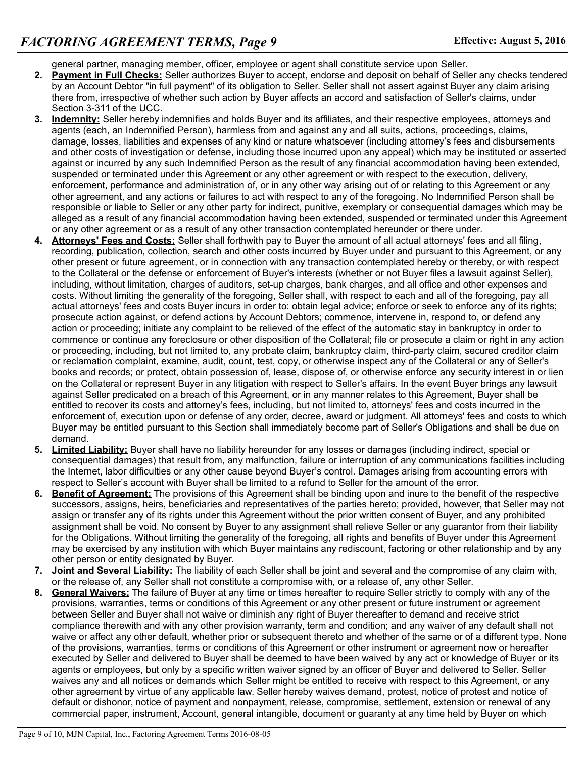general partner, managing member, officer, employee or agent shall constitute service upon Seller.

- **2. Payment in Full Checks:** Seller authorizes Buyer to accept, endorse and deposit on behalf of Seller any checks tendered by an Account Debtor "in full payment" of its obligation to Seller. Seller shall not assert against Buyer any claim arising there from, irrespective of whether such action by Buyer affects an accord and satisfaction of Seller's claims, under Section 3-311 of the UCC.
- **3. Indemnity:** Seller hereby indemnifies and holds Buyer and its affiliates, and their respective employees, attorneys and agents (each, an Indemnified Person), harmless from and against any and all suits, actions, proceedings, claims, damage, losses, liabilities and expenses of any kind or nature whatsoever (including attorney's fees and disbursements and other costs of investigation or defense, including those incurred upon any appeal) which may be instituted or asserted against or incurred by any such Indemnified Person as the result of any financial accommodation having been extended, suspended or terminated under this Agreement or any other agreement or with respect to the execution, delivery, enforcement, performance and administration of, or in any other way arising out of or relating to this Agreement or any other agreement, and any actions or failures to act with respect to any of the foregoing. No Indemnified Person shall be responsible or liable to Seller or any other party for indirect, punitive, exemplary or consequential damages which may be alleged as a result of any financial accommodation having been extended, suspended or terminated under this Agreement or any other agreement or as a result of any other transaction contemplated hereunder or there under.
- **4. Attorneys' Fees and Costs:** Seller shall forthwith pay to Buyer the amount of all actual attorneys' fees and all filing, recording, publication, collection, search and other costs incurred by Buyer under and pursuant to this Agreement, or any other present or future agreement, or in connection with any transaction contemplated hereby or thereby, or with respect to the Collateral or the defense or enforcement of Buyer's interests (whether or not Buyer files a lawsuit against Seller), including, without limitation, charges of auditors, set-up charges, bank charges, and all office and other expenses and costs. Without limiting the generality of the foregoing, Seller shall, with respect to each and all of the foregoing, pay all actual attorneys' fees and costs Buyer incurs in order to: obtain legal advice; enforce or seek to enforce any of its rights; prosecute action against, or defend actions by Account Debtors; commence, intervene in, respond to, or defend any action or proceeding; initiate any complaint to be relieved of the effect of the automatic stay in bankruptcy in order to commence or continue any foreclosure or other disposition of the Collateral; file or prosecute a claim or right in any action or proceeding, including, but not limited to, any probate claim, bankruptcy claim, third-party claim, secured creditor claim or reclamation complaint, examine, audit, count, test, copy, or otherwise inspect any of the Collateral or any of Seller's books and records; or protect, obtain possession of, lease, dispose of, or otherwise enforce any security interest in or lien on the Collateral or represent Buyer in any litigation with respect to Seller's affairs. In the event Buyer brings any lawsuit against Seller predicated on a breach of this Agreement, or in any manner relates to this Agreement, Buyer shall be entitled to recover its costs and attorney's fees, including, but not limited to, attorneys' fees and costs incurred in the enforcement of, execution upon or defense of any order, decree, award or judgment. All attorneys' fees and costs to which Buyer may be entitled pursuant to this Section shall immediately become part of Seller's Obligations and shall be due on demand.
- **5. Limited Liability:** Buyer shall have no liability hereunder for any losses or damages (including indirect, special or consequential damages) that result from, any malfunction, failure or interruption of any communications facilities including the Internet, labor difficulties or any other cause beyond Buyer's control. Damages arising from accounting errors with respect to Seller's account with Buyer shall be limited to a refund to Seller for the amount of the error.
- **6. Benefit of Agreement:** The provisions of this Agreement shall be binding upon and inure to the benefit of the respective successors, assigns, heirs, beneficiaries and representatives of the parties hereto; provided, however, that Seller may not assign or transfer any of its rights under this Agreement without the prior written consent of Buyer, and any prohibited assignment shall be void. No consent by Buyer to any assignment shall relieve Seller or any guarantor from their liability for the Obligations. Without limiting the generality of the foregoing, all rights and benefits of Buyer under this Agreement may be exercised by any institution with which Buyer maintains any rediscount, factoring or other relationship and by any other person or entity designated by Buyer.
- **7. Joint and Several Liability:** The liability of each Seller shall be joint and several and the compromise of any claim with, or the release of, any Seller shall not constitute a compromise with, or a release of, any other Seller.
- **8. General Waivers:** The failure of Buyer at any time or times hereafter to require Seller strictly to comply with any of the provisions, warranties, terms or conditions of this Agreement or any other present or future instrument or agreement between Seller and Buyer shall not waive or diminish any right of Buyer thereafter to demand and receive strict compliance therewith and with any other provision warranty, term and condition; and any waiver of any default shall not waive or affect any other default, whether prior or subsequent thereto and whether of the same or of a different type. None of the provisions, warranties, terms or conditions of this Agreement or other instrument or agreement now or hereafter executed by Seller and delivered to Buyer shall be deemed to have been waived by any act or knowledge of Buyer or its agents or employees, but only by a specific written waiver signed by an officer of Buyer and delivered to Seller. Seller waives any and all notices or demands which Seller might be entitled to receive with respect to this Agreement, or any other agreement by virtue of any applicable law. Seller hereby waives demand, protest, notice of protest and notice of default or dishonor, notice of payment and nonpayment, release, compromise, settlement, extension or renewal of any commercial paper, instrument, Account, general intangible, document or guaranty at any time held by Buyer on which